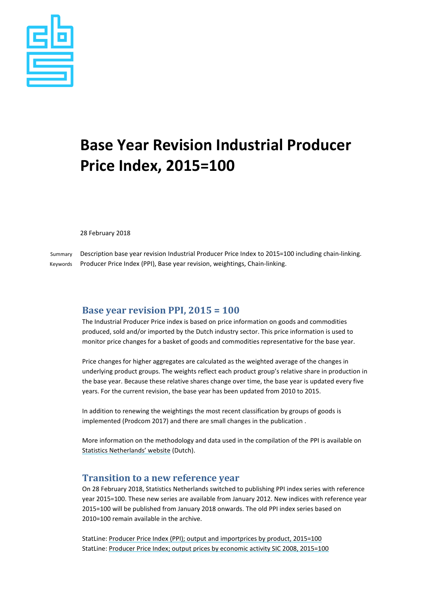

# **Base Year Revision Industrial Producer Price Index, 2015=100**

28 February 2018

Summary Description base year revision Industrial Producer Price Index to 2015=100 including chain-linking. Keywords Producer Price Index (PPI), Base year revision, weightings, Chain-linking.

### **Base year revision PPI, 2015 = 100**

The Industrial Producer Price index is based on price information on goods and commodities produced, sold and/or imported by the Dutch industry sector. This price information is used to monitor price changes for a basket of goods and commodities representative for the base year.

Price changes for higher aggregates are calculated as the weighted average of the changes in underlying product groups. The weights reflect each product group's relative share in production in the base year. Because these relative shares change over time, the base year is updated every five years. For the current revision, the base year has been updated from 2010 to 2015.

In addition to renewing the weightings the most recent classification by groups of goods is implemented (Prodcom 2017) and there are small changes in the publication .

More information on the methodology and data used in the compilation of the PPI is available on [Statistics Netherlands' website](https://www.cbs.nl/nl-nl/onze-diensten/methoden/onderzoeksomschrijvingen/korte-onderzoeksbeschrijvingen/producentenprijsindex--ppi---2015-100) (Dutch).

### **Transition to a new reference year**

On 28 February 2018, Statistics Netherlands switched to publishing PPI index series with reference year 2015=100. These new series are available from January 2012. New indices with reference year 2015=100 will be published from January 2018 onwards. The old PPI index series based on 2010=100 remain available in the archive.

StatLine: [Producer Price Index \(PPI\); output and importprices by product, 2015=100](https://opendata.cbs.nl/statline/#/CBS/en/dataset/83935ENG) StatLine: [Producer Price Index; output prices by economic activity SIC 2008, 2015=100](https://opendata.cbs.nl/statline/#/CBS/en/dataset/83936ENG)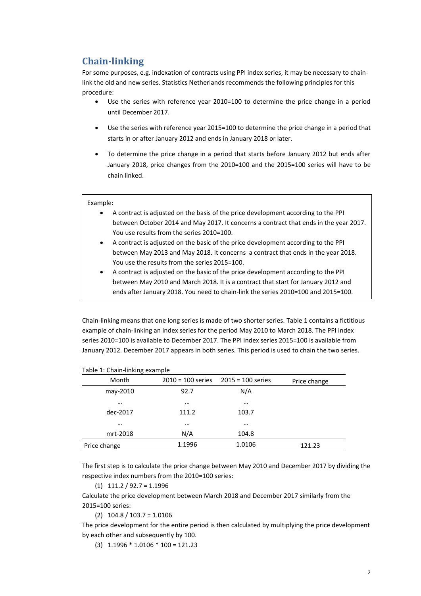## **Chain-linking**

For some purposes, e.g. indexation of contracts using PPI index series, it may be necessary to chainlink the old and new series. Statistics Netherlands recommends the following principles for this procedure:

- Use the series with reference year 2010=100 to determine the price change in a period until December 2017.
- Use the series with reference year 2015=100 to determine the price change in a period that starts in or after January 2012 and ends in January 2018 or later.
- To determine the price change in a period that starts before January 2012 but ends after January 2018, price changes from the 2010=100 and the 2015=100 series will have to be chain linked.

#### Example:

- A contract is adjusted on the basis of the price development according to the PPI between October 2014 and May 2017. It concerns a contract that ends in the year 2017. You use results from the series 2010=100.
- A contract is adjusted on the basic of the price development according to the PPI between May 2013 and May 2018. It concerns a contract that ends in the year 2018. You use the results from the series 2015=100.
- A contract is adjusted on the basic of the price development according to the PPI between May 2010 and March 2018. It is a contract that start for January 2012 and ends after January 2018. You need to chain-link the series 2010=100 and 2015=100.

Chain-linking means that one long series is made of two shorter series. Table 1 contains a fictitious example of chain-linking an index series for the period May 2010 to March 2018. The PPI index series 2010=100 is available to December 2017. The PPI index series 2015=100 is available from January 2012. December 2017 appears in both series. This period is used to chain the two series.

| Table 1. Chall-Illining example |                     |                     |              |
|---------------------------------|---------------------|---------------------|--------------|
| Month                           | $2010 = 100$ series | $2015 = 100$ series | Price change |
| may-2010                        | 92.7                | N/A                 |              |
| $\cdots$                        | $\cdots$            | $\cdots$            |              |
| dec-2017                        | 111.2               | 103.7               |              |
| $\cdots$                        | $\cdots$            | $\cdots$            |              |
| mrt-2018                        | N/A                 | 104.8               |              |
| Price change                    | 1.1996              | 1.0106              | 121.23       |

#### Table 1: Chain-linking example

The first step is to calculate the price change between May 2010 and December 2017 by dividing the respective index numbers from the 2010=100 series:

 $(1)$  111.2 / 92.7 = 1.1996

Calculate the price development between March 2018 and December 2017 similarly from the 2015=100 series:

(2) 104.8 / 103.7 = 1.0106

The price development for the entire period is then calculated by multiplying the price development by each other and subsequently by 100.

(3) 1.1996 \* 1.0106 \* 100 = 121.23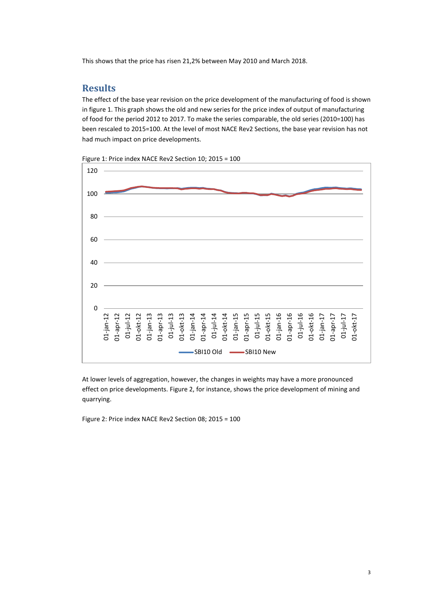This shows that the price has risen 21,2% between May 2010 and March 2018.

## **Results**

The effect of the base year revision on the price development of the manufacturing of food is shown in figure 1. This graph shows the old and new series for the price index of output of manufacturing of food for the period 2012 to 2017. To make the series comparable, the old series (2010=100) has been rescaled to 2015=100. At the level of most NACE Rev2 Sections, the base year revision has not had much impact on price developments.



Figure 1: Price index NACE Rev2 Section 10; 2015 = 100

At lower levels of aggregation, however, the changes in weights may have a more pronounced effect on price developments. Figure 2, for instance, shows the price development of mining and quarrying.

Figure 2: Price index NACE Rev2 Section 08; 2015 = 100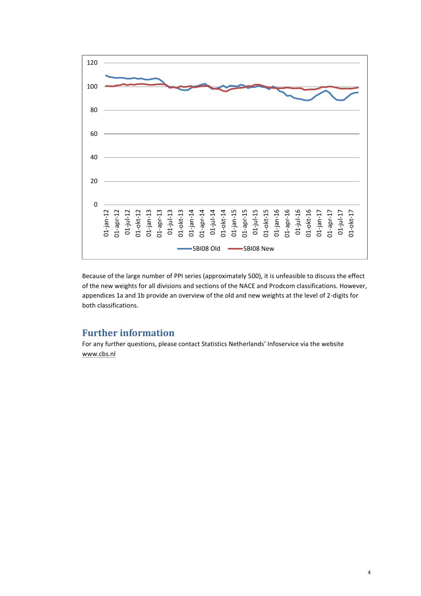

Because of the large number of PPI series (approximately 500), it is unfeasible to discuss the effect of the new weights for all divisions and sections of the NACE and Prodcom classifications. However, appendices 1a and 1b provide an overview of the old and new weights at the level of 2-digits for both classifications.

## **Further information**

For any further questions, please contact Statistics Netherlands' Infoservice via the website [www.cbs.nl](http://www.cbs.nl/)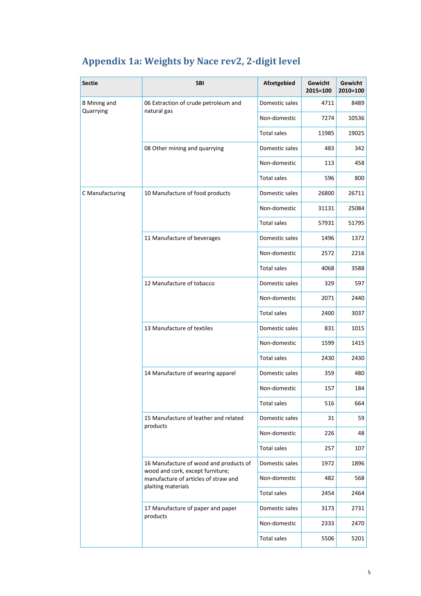| <b>Sectie</b>       | <b>SBI</b>                                                               | Afzetgebied        | Gewicht<br>2015=100 | Gewicht<br>2010=100 |
|---------------------|--------------------------------------------------------------------------|--------------------|---------------------|---------------------|
| <b>B</b> Mining and | 06 Extraction of crude petroleum and                                     | Domestic sales     | 4711                | 8489                |
| Quarrying           | natural gas                                                              | Non-domestic       | 7274                | 10536               |
|                     |                                                                          | <b>Total sales</b> | 11985               | 19025               |
|                     | 08 Other mining and quarrying                                            | Domestic sales     | 483                 | 342                 |
|                     |                                                                          | Non-domestic       | 113                 | 458                 |
|                     |                                                                          | <b>Total sales</b> | 596                 | 800                 |
| C Manufacturing     | 10 Manufacture of food products                                          | Domestic sales     | 26800               | 26711               |
|                     |                                                                          | Non-domestic       | 31131               | 25084               |
|                     |                                                                          | <b>Total sales</b> | 57931               | 51795               |
|                     | 11 Manufacture of beverages                                              | Domestic sales     | 1496                | 1372                |
|                     |                                                                          | Non-domestic       | 2572                | 2216                |
|                     |                                                                          | <b>Total sales</b> | 4068                | 3588                |
|                     | 12 Manufacture of tobacco                                                | Domestic sales     | 329                 | 597                 |
|                     |                                                                          | Non-domestic       | 2071                | 2440                |
|                     |                                                                          | <b>Total sales</b> | 2400                | 3037                |
|                     | 13 Manufacture of textiles                                               | Domestic sales     | 831                 | 1015                |
|                     |                                                                          | Non-domestic       | 1599                | 1415                |
|                     |                                                                          | <b>Total sales</b> | 2430                | 2430                |
|                     | 14 Manufacture of wearing apparel                                        | Domestic sales     | 359                 | 480                 |
|                     |                                                                          | Non-domestic       | 157                 | 184                 |
|                     |                                                                          | Total sales        | 516                 | 664                 |
|                     | 15 Manufacture of leather and related<br>products                        | Domestic sales     | 31                  | 59                  |
|                     |                                                                          | Non-domestic       | 226                 | 48                  |
|                     |                                                                          | <b>Total sales</b> | 257                 | 107                 |
|                     | 16 Manufacture of wood and products of                                   | Domestic sales     | 1972                | 1896                |
|                     | wood and cork, except furniture;<br>manufacture of articles of straw and | Non-domestic       | 482                 | 568                 |
|                     | plaiting materials                                                       | Total sales        | 2454                | 2464                |
|                     | 17 Manufacture of paper and paper                                        | Domestic sales     | 3173                | 2731                |
|                     | products                                                                 | Non-domestic       | 2333                | 2470                |
|                     |                                                                          | <b>Total sales</b> | 5506                | 5201                |

## **Appendix 1a: Weights by Nace rev2, 2-digit level**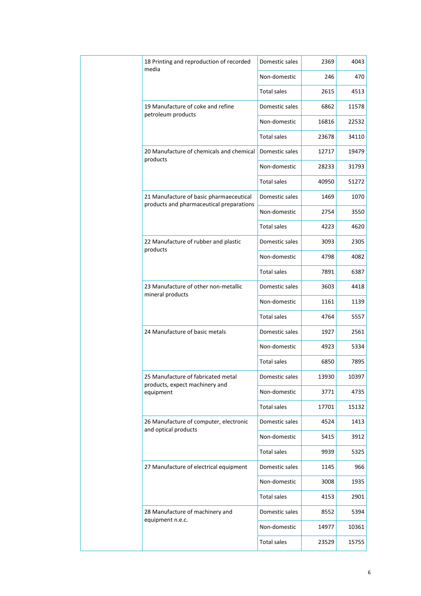|  | 18 Printing and reproduction of recorded<br>media        | Domestic sales     | 2369  | 4043  |
|--|----------------------------------------------------------|--------------------|-------|-------|
|  |                                                          | Non-domestic       | 246   | 470   |
|  |                                                          | <b>Total sales</b> | 2615  | 4513  |
|  | 19 Manufacture of coke and refine<br>petroleum products  | Domestic sales     | 6862  | 11578 |
|  |                                                          | Non-domestic       | 16816 | 22532 |
|  |                                                          | <b>Total sales</b> | 23678 | 34110 |
|  | 20 Manufacture of chemicals and chemical<br>products     | Domestic sales     | 12717 | 19479 |
|  |                                                          | Non-domestic       | 28233 | 31793 |
|  |                                                          | <b>Total sales</b> | 40950 | 51272 |
|  | 21 Manufacture of basic pharmaeceutical                  | Domestic sales     | 1469  | 1070  |
|  | products and pharmaceutical preparations                 | Non-domestic       | 2754  | 3550  |
|  |                                                          | <b>Total sales</b> | 4223  | 4620  |
|  | 22 Manufacture of rubber and plastic                     | Domestic sales     | 3093  | 2305  |
|  | products                                                 | Non-domestic       | 4798  | 4082  |
|  |                                                          | <b>Total sales</b> | 7891  | 6387  |
|  | 23 Manufacture of other non-metallic<br>mineral products | Domestic sales     | 3603  | 4418  |
|  |                                                          | Non-domestic       | 1161  | 1139  |
|  |                                                          | <b>Total sales</b> | 4764  | 5557  |
|  | 24 Manufacture of basic metals                           | Domestic sales     | 1927  | 2561  |
|  |                                                          | Non-domestic       | 4923  | 5334  |
|  |                                                          | <b>Total sales</b> | 6850  | 7895  |
|  | 25 Manufacture of fabricated metal                       | Domestic sales     | 13930 | 10397 |
|  | products, expect machinery and<br>equipment              | Non-domestic       | 3771  | 4735  |
|  |                                                          | <b>Total sales</b> | 17701 | 15132 |
|  | 26 Manufacture of computer, electronic                   | Domestic sales     | 4524  | 1413  |
|  | and optical products                                     | Non-domestic       | 5415  | 3912  |
|  |                                                          | Total sales        | 9939  | 5325  |
|  | 27 Manufacture of electrical equipment                   | Domestic sales     | 1145  | 966   |
|  |                                                          | Non-domestic       | 3008  | 1935  |
|  |                                                          | <b>Total sales</b> | 4153  | 2901  |
|  | 28 Manufacture of machinery and                          | Domestic sales     | 8552  | 5394  |
|  | equipment n.e.c.                                         | Non-domestic       | 14977 | 10361 |
|  |                                                          | <b>Total sales</b> | 23529 | 15755 |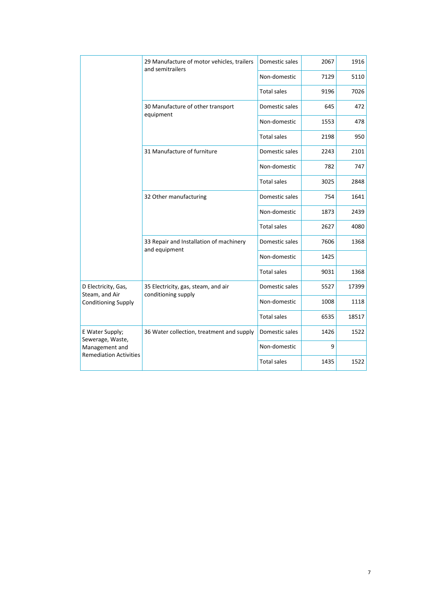|                                                 | 29 Manufacture of motor vehicles, trailers<br>and semitrailers | Domestic sales     | 2067 | 1916  |
|-------------------------------------------------|----------------------------------------------------------------|--------------------|------|-------|
|                                                 |                                                                | Non-domestic       | 7129 | 5110  |
|                                                 |                                                                | <b>Total sales</b> | 9196 | 7026  |
|                                                 | 30 Manufacture of other transport                              | Domestic sales     | 645  | 472   |
|                                                 | equipment                                                      | Non-domestic       | 1553 | 478   |
|                                                 |                                                                | <b>Total sales</b> | 2198 | 950   |
|                                                 | 31 Manufacture of furniture                                    | Domestic sales     | 2243 | 2101  |
|                                                 |                                                                | Non-domestic       | 782  | 747   |
|                                                 |                                                                | <b>Total sales</b> | 3025 | 2848  |
|                                                 | 32 Other manufacturing                                         | Domestic sales     | 754  | 1641  |
|                                                 |                                                                | Non-domestic       | 1873 | 2439  |
|                                                 |                                                                | <b>Total sales</b> | 2627 | 4080  |
|                                                 | 33 Repair and Installation of machinery<br>and equipment       | Domestic sales     | 7606 | 1368  |
|                                                 |                                                                | Non-domestic       | 1425 |       |
|                                                 |                                                                | <b>Total sales</b> | 9031 | 1368  |
| D Electricity, Gas,<br>Steam, and Air           | 35 Electricity, gas, steam, and air<br>conditioning supply     | Domestic sales     | 5527 | 17399 |
| <b>Conditioning Supply</b>                      |                                                                | Non-domestic       | 1008 | 1118  |
|                                                 |                                                                | <b>Total sales</b> | 6535 | 18517 |
| E Water Supply;<br>Sewerage, Waste,             | 36 Water collection, treatment and supply                      | Domestic sales     | 1426 | 1522  |
| Management and<br><b>Remediation Activities</b> |                                                                | Non-domestic       | 9    |       |
|                                                 |                                                                | <b>Total sales</b> | 1435 | 1522  |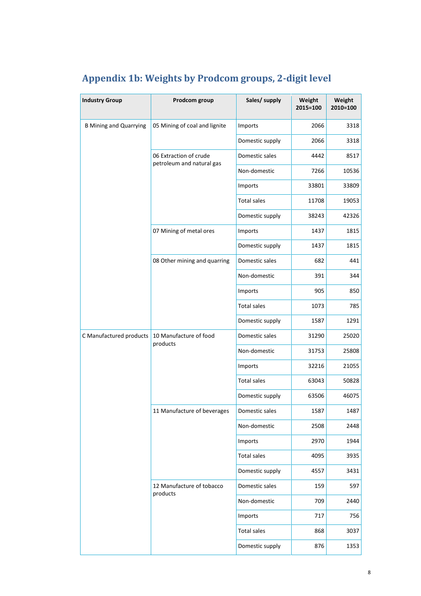| <b>Industry Group</b>         | Prodcom group                         | Sales/ supply      | Weight<br>2015=100 | Weight<br>2010=100 |
|-------------------------------|---------------------------------------|--------------------|--------------------|--------------------|
| <b>B Mining and Quarrying</b> | 05 Mining of coal and lignite         | Imports            | 2066               | 3318               |
|                               |                                       | Domestic supply    | 2066               | 3318               |
|                               | 06 Extraction of crude                | Domestic sales     | 4442               | 8517               |
|                               | petroleum and natural gas             | Non-domestic       | 7266               | 10536              |
|                               |                                       | Imports            | 33801              | 33809              |
|                               |                                       | <b>Total sales</b> | 11708              | 19053              |
|                               |                                       | Domestic supply    | 38243              | 42326              |
|                               | 07 Mining of metal ores               | Imports            | 1437               | 1815               |
|                               |                                       | Domestic supply    | 1437               | 1815               |
|                               | 08 Other mining and quarring          | Domestic sales     | 682                | 441                |
|                               |                                       | Non-domestic       | 391                | 344                |
|                               |                                       | Imports            | 905                | 850                |
|                               |                                       | <b>Total sales</b> | 1073               | 785                |
|                               |                                       | Domestic supply    | 1587               | 1291               |
| C Manufactured products       | 10 Manufacture of food<br>products    | Domestic sales     | 31290              | 25020              |
|                               |                                       | Non-domestic       | 31753              | 25808              |
|                               |                                       | Imports            | 32216              | 21055              |
|                               |                                       | <b>Total sales</b> | 63043              | 50828              |
|                               |                                       | Domestic supply    | 63506              | 46075              |
|                               | 11 Manufacture of beverages           | Domestic sales     | 1587               | 1487               |
|                               |                                       | Non-domestic       | 2508               | 2448               |
|                               |                                       | Imports            | 2970               | 1944               |
|                               |                                       | <b>Total sales</b> | 4095               | 3935               |
|                               |                                       | Domestic supply    | 4557               | 3431               |
|                               | 12 Manufacture of tobacco<br>products | Domestic sales     | 159                | 597                |
|                               |                                       | Non-domestic       | 709                | 2440               |
|                               |                                       | Imports            | 717                | 756                |
|                               |                                       | <b>Total sales</b> | 868                | 3037               |
|                               |                                       | Domestic supply    | 876                | 1353               |

## **Appendix 1b: Weights by Prodcom groups, 2-digit level**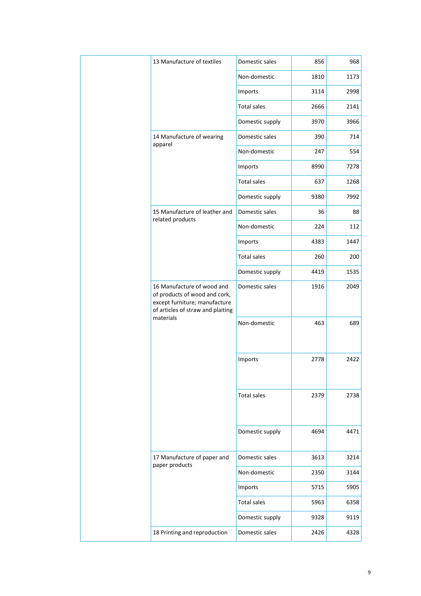| 13 Manufacture of textiles                                                                                                        | Domestic sales         | 856  | 968  |
|-----------------------------------------------------------------------------------------------------------------------------------|------------------------|------|------|
|                                                                                                                                   | Non-domestic           | 1810 | 1173 |
|                                                                                                                                   | Imports                | 3114 | 2998 |
|                                                                                                                                   | <b>Total sales</b>     | 2666 | 2141 |
|                                                                                                                                   | Domestic supply        | 3970 | 3966 |
| 14 Manufacture of wearing                                                                                                         | Domestic sales         | 390  | 714  |
| apparel                                                                                                                           | Non-domestic           | 247  | 554  |
|                                                                                                                                   | Imports                | 8990 | 7278 |
|                                                                                                                                   | <b>Total sales</b>     | 637  | 1268 |
|                                                                                                                                   | Domestic supply        | 9380 | 7992 |
| 15 Manufacture of leather and<br>related products                                                                                 | Domestic sales         | 36   | 88   |
|                                                                                                                                   | Non-domestic           | 224  | 112  |
|                                                                                                                                   | Imports                | 4383 | 1447 |
|                                                                                                                                   | <b>Total sales</b>     | 260  | 200  |
|                                                                                                                                   | Domestic supply        | 4419 | 1535 |
| 16 Manufacture of wood and<br>of products of wood and cork,<br>except furniture; manufacture<br>of articles of straw and plaiting | Domestic sales         | 1916 | 2049 |
| materials                                                                                                                         | Non-domestic           | 463  | 689  |
|                                                                                                                                   | Imports                | 2778 | 2422 |
|                                                                                                                                   | <b>Total sales</b>     | 2379 | 2738 |
|                                                                                                                                   | Domestic supply        | 4694 | 4471 |
| 17 Manufacture of paper and                                                                                                       | Domestic sales<br>3613 | 3214 |      |
| paper products                                                                                                                    | Non-domestic           | 2350 | 3144 |
|                                                                                                                                   | Imports                | 5715 | 5905 |
|                                                                                                                                   | <b>Total sales</b>     | 5963 | 6358 |
|                                                                                                                                   | Domestic supply        | 9328 | 9119 |
| 18 Printing and reproduction                                                                                                      | Domestic sales         | 2426 | 4328 |
|                                                                                                                                   |                        |      |      |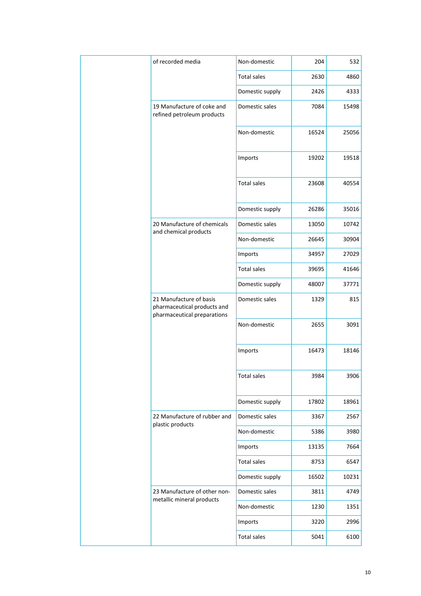| of recorded media                                                                     | Non-domestic       | 204   | 532   |
|---------------------------------------------------------------------------------------|--------------------|-------|-------|
|                                                                                       | <b>Total sales</b> | 2630  | 4860  |
|                                                                                       | Domestic supply    | 2426  | 4333  |
| 19 Manufacture of coke and<br>refined petroleum products                              | Domestic sales     | 7084  | 15498 |
|                                                                                       | Non-domestic       | 16524 | 25056 |
|                                                                                       | Imports            | 19202 | 19518 |
|                                                                                       | <b>Total sales</b> | 23608 | 40554 |
|                                                                                       | Domestic supply    | 26286 | 35016 |
| 20 Manufacture of chemicals                                                           | Domestic sales     | 13050 | 10742 |
| and chemical products                                                                 | Non-domestic       | 26645 | 30904 |
|                                                                                       | Imports            | 34957 | 27029 |
| <b>Total sales</b>                                                                    | 39695              | 41646 |       |
|                                                                                       | Domestic supply    | 48007 | 37771 |
| 21 Manufacture of basis<br>pharmaceutical products and<br>pharmaceutical preparations | Domestic sales     | 1329  | 815   |
|                                                                                       | Non-domestic       | 2655  | 3091  |
|                                                                                       | Imports            | 16473 | 18146 |
|                                                                                       | <b>Total sales</b> | 3984  | 3906  |
|                                                                                       | Domestic supply    | 17802 | 18961 |
| 22 Manufacture of rubber and                                                          | Domestic sales     | 3367  | 2567  |
| plastic products                                                                      | Non-domestic       | 5386  | 3980  |
|                                                                                       | Imports            | 13135 | 7664  |
|                                                                                       | <b>Total sales</b> | 8753  | 6547  |
|                                                                                       | Domestic supply    | 16502 | 10231 |
| 23 Manufacture of other non-                                                          | Domestic sales     | 3811  | 4749  |
| metallic mineral products                                                             | Non-domestic       | 1230  | 1351  |
|                                                                                       | Imports            | 3220  | 2996  |
|                                                                                       | <b>Total sales</b> | 5041  | 6100  |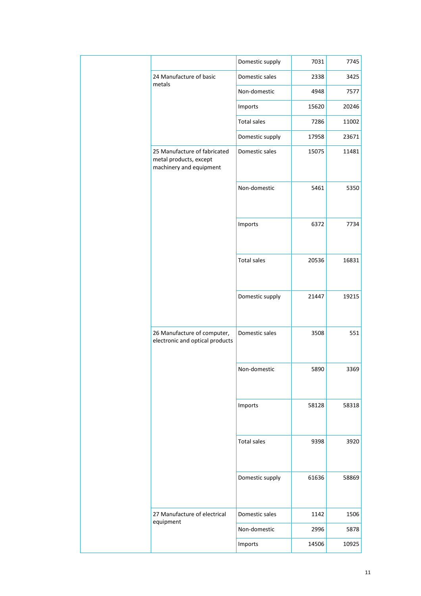|  |                                                                                   | Domestic supply    | 7031  | 7745  |
|--|-----------------------------------------------------------------------------------|--------------------|-------|-------|
|  | 24 Manufacture of basic<br>metals                                                 | Domestic sales     | 2338  | 3425  |
|  |                                                                                   | Non-domestic       | 4948  | 7577  |
|  |                                                                                   | Imports            | 15620 | 20246 |
|  |                                                                                   | <b>Total sales</b> | 7286  | 11002 |
|  |                                                                                   | Domestic supply    | 17958 | 23671 |
|  | 25 Manufacture of fabricated<br>metal products, except<br>machinery and equipment | Domestic sales     | 15075 | 11481 |
|  |                                                                                   | Non-domestic       | 5461  | 5350  |
|  |                                                                                   | Imports            | 6372  | 7734  |
|  |                                                                                   | <b>Total sales</b> | 20536 | 16831 |
|  |                                                                                   | Domestic supply    | 21447 | 19215 |
|  | 26 Manufacture of computer,<br>electronic and optical products                    | Domestic sales     | 3508  | 551   |
|  |                                                                                   | Non-domestic       | 5890  | 3369  |
|  |                                                                                   | Imports            | 58128 | 58318 |
|  |                                                                                   | Total sales        | 9398  | 3920  |
|  |                                                                                   | Domestic supply    | 61636 | 58869 |
|  | 27 Manufacture of electrical<br>equipment                                         | Domestic sales     | 1142  | 1506  |
|  |                                                                                   | Non-domestic       | 2996  | 5878  |
|  |                                                                                   | Imports            | 14506 | 10925 |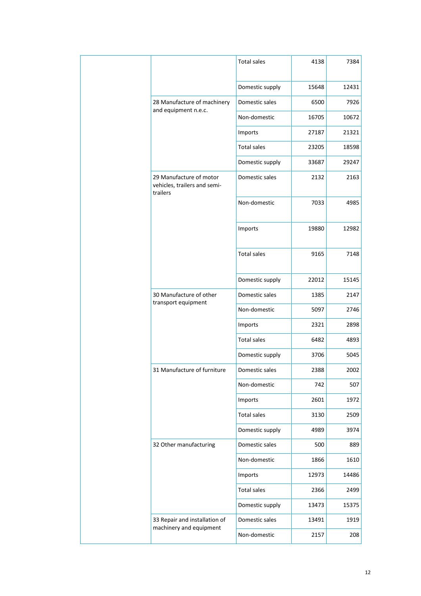|  |                                                                                  | <b>Total sales</b> | 4138  | 7384  |
|--|----------------------------------------------------------------------------------|--------------------|-------|-------|
|  |                                                                                  | Domestic supply    | 15648 | 12431 |
|  | 28 Manufacture of machinery                                                      | Domestic sales     | 6500  | 7926  |
|  | and equipment n.e.c.                                                             | Non-domestic       | 16705 | 10672 |
|  |                                                                                  | Imports            | 27187 | 21321 |
|  |                                                                                  | <b>Total sales</b> | 23205 | 18598 |
|  |                                                                                  | Domestic supply    | 33687 | 29247 |
|  | 29 Manufacture of motor<br>vehicles, trailers and semi-<br>trailers              | Domestic sales     | 2132  | 2163  |
|  |                                                                                  | Non-domestic       | 7033  | 4985  |
|  |                                                                                  | Imports            | 19880 | 12982 |
|  |                                                                                  | <b>Total sales</b> | 9165  | 7148  |
|  |                                                                                  | Domestic supply    | 22012 | 15145 |
|  | 30 Manufacture of other<br>Domestic sales<br>transport equipment<br>Non-domestic | 1385               | 2147  |       |
|  |                                                                                  |                    | 5097  | 2746  |
|  |                                                                                  | Imports            | 2321  | 2898  |
|  |                                                                                  | <b>Total sales</b> | 6482  | 4893  |
|  |                                                                                  | Domestic supply    | 3706  | 5045  |
|  | 31 Manufacture of furniture                                                      | Domestic sales     | 2388  | 2002  |
|  |                                                                                  | Non-domestic       | 742   | 507   |
|  |                                                                                  | Imports            | 2601  | 1972  |
|  |                                                                                  | <b>Total sales</b> | 3130  | 2509  |
|  |                                                                                  | Domestic supply    | 4989  | 3974  |
|  | 32 Other manufacturing                                                           | Domestic sales     | 500   | 889   |
|  |                                                                                  | Non-domestic       | 1866  | 1610  |
|  |                                                                                  | Imports            | 12973 | 14486 |
|  |                                                                                  | <b>Total sales</b> | 2366  | 2499  |
|  |                                                                                  | Domestic supply    | 13473 | 15375 |
|  | 33 Repair and installation of<br>machinery and equipment                         | Domestic sales     | 13491 | 1919  |
|  |                                                                                  | Non-domestic       | 2157  | 208   |